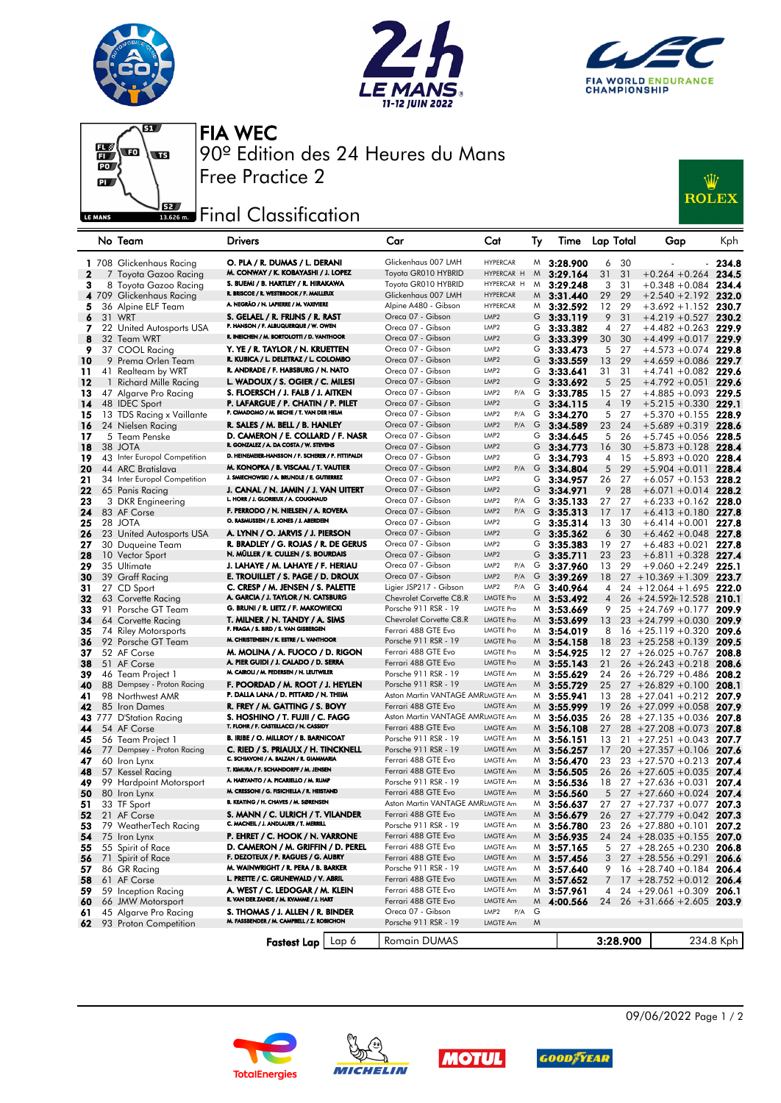







FIA WEC 90º Edition des 24 Heures du Mans Free Practice 2

## **J**sz Final Classification

| :W           |
|--------------|
|              |
| <b>ROLEX</b> |
|              |

|              |    | No Team                                    | <b>Drivers</b>                                                                | Car                                             | Cat                                  | Ту | Time                 |                | Lap Total | Gap                                            | <b>Kph</b>     |
|--------------|----|--------------------------------------------|-------------------------------------------------------------------------------|-------------------------------------------------|--------------------------------------|----|----------------------|----------------|-----------|------------------------------------------------|----------------|
|              |    | 1 708 Glickenhaus Racing                   | O. PLA / R. DUMAS / L. DERANI                                                 | Glickenhaus 007 LMH                             | <b>HYPERCAR</b>                      |    | $M_{3:28.900}$       | 6              | 30        |                                                | 234.8          |
| $\mathbf{2}$ |    | 7 Toyota Gazoo Racing                      | M. CONWAY / K. KOBAYASHI / J. LOPEZ                                           | Toyota GR010 HYBRID                             | HYPERCAR H                           | M  | 3:29.164             | 31             | 31        | $+0.264 + 0.264$                               | 234.5          |
| 3            |    | 8 Toyota Gazoo Racing                      | S. BUEMI / B. HARTLEY / R. HIRAKAWA                                           | Toyota GR010 HYBRID                             | HYPERCAR H                           | M  | 3:29.248             | 3              | 31        | $+0.348 + 0.084$ 234.4                         |                |
|              |    | 4 709 Glickenhaus Racing                   | R. BRISCOE / R. WESTBROOK / F. MAILLEUX                                       | Glickenhaus 007 LMH                             | <b>HYPERCAR</b>                      | M  | 3:31.440             | 29             | 29        | $+2.540 + 2.192$                               | 232.0          |
| 5            |    | 36 Alpine ELF Team                         | A. NEGRÃO / N. LAPIERRE / M. VAXIVIERE                                        | Alpine A480 - Gibson                            | <b>HYPERCAR</b>                      |    | $M$ 3:32.592         | 12             | 29        | $+3.692 + 1.152$ 230.7                         |                |
| 6            |    | 31 WRT                                     | S. GELAEL / R. FRIJNS / R. RAST                                               | Oreca 07 - Gibson                               | LMP <sub>2</sub>                     | G  | 3:33.119             | 9              | 31        | $+4.219 + 0.527$                               | 230.2          |
| 7            |    | 22 United Autosports USA                   | P. HANSON / F. ALBUQUERQUE / W. OWEN                                          | Oreca 07 - Gibson                               | LMP <sub>2</sub>                     | G  | 3:33.382             | 4              | 27        | $+4.482 + 0.263$                               | 229.9          |
| 8            |    | 32 Team WRT                                | R. INEICHEN / M. BORTOLOTTI / D. VANTHOOR                                     | Oreca 07 - Gibson                               | LMP <sub>2</sub>                     | G  | 3:33.399             | 30             | 30        | $+4.499 + 0.017$ 229.9                         |                |
| 9            |    | 37 COOL Racing                             | Y. YE / R. TAYLOR / N. KRUETTEN                                               | Oreca 07 - Gibson                               | LMP <sub>2</sub>                     | G  | 3:33.473             | 5              | 27        | $+4.573 + 0.074$                               | 229.8          |
| 10           |    | 9 Prema Orlen Team                         | R. KUBICA / L. DELETRAZ / L. COLOMBO                                          | Oreca 07 - Gibson                               | LMP <sub>2</sub>                     | G  | 3:33.559             | 13             | 29        | $+4.659 + 0.086$                               | 229.7          |
| 11           |    | 41 Realteam by WRT                         | R. ANDRADE / F. HABSBURG / N. NATO                                            | Oreca 07 - Gibson                               | LMP <sub>2</sub>                     | G  | 3:33.641             | 31             | 31        | $+4.741 + 0.082$ 229.6                         |                |
| 12           | -1 | Richard Mille Racing                       | L. WADOUX / S. OGIER / C. MILESI                                              | Oreca 07 - Gibson                               | LMP <sub>2</sub>                     | G  | 3:33.692             | 5              | 25        | $+4.792 +0.051$                                | 229.6          |
| 13           |    | 47 Algarve Pro Racing                      | S. FLOERSCH / J. FALB / J. AITKEN                                             | Oreca 07 - Gibson                               | P/A<br>LMP <sub>2</sub>              | G  | 3:33.785             | 15             | 27        | $+4.885 + 0.093$                               | 229.5          |
| 14           |    | 48 IDEC Sport                              | P. LAFARGUE / P. CHATIN / P. PILET                                            | Oreca 07 - Gibson                               | LMP <sub>2</sub>                     | G  | 3:34.115             | 4              | 19        | $+5.215 + 0.330$                               | 229.1          |
| 15           |    | 13 TDS Racing x Vaillante                  | P. CIMADOMO / M. BECHE / T. VAN DER HELM                                      | Oreca 07 - Gibson                               | LMP <sub>2</sub><br>P/A              | G  | 3:34.270             | 5              | 27        | $+5.370 + 0.155$                               | 228.9          |
| 16           |    | 24 Nielsen Racing                          | R. SALES / M. BELL / B. HANLEY                                                | Oreca 07 - Gibson                               | LMP <sub>2</sub><br>P/A              | G  | 3:34.589             | 23             | 24        | $+5.689 + 0.319$                               | 228.6          |
| 17           |    | 5 Team Penske                              | D. CAMERON / E. COLLARD / F. NASR                                             | Oreca 07 - Gibson                               | LMP <sub>2</sub>                     | G  | 3:34.645             | 5              | 26        | $+5.745 + 0.056$                               | 228.5          |
| 18           |    | 38 JOTA                                    | R. GONZALEZ / A. DA COSTA / W. STEVENS                                        | Oreca 07 - Gibson                               | LMP <sub>2</sub>                     | G  | 3:34.773             | 16             | 30        | $+5.873 + 0.128$ 228.4                         |                |
| 19           |    | 43 Inter Europol Competition               | D. HEINEMEIER-HANSSON / F. SCHERER / P. FITTIPALDI                            | Oreca 07 - Gibson                               | LMP <sub>2</sub>                     | G  | 3:34.793             | 4              | 15        | $+5.893 + 0.020$ 228.4                         |                |
| 20           |    | 44 ARC Bratislava                          | M. KONOPKA / B. VISCAAL / T. VAUTIER                                          | Oreca 07 - Gibson                               | LMP <sub>2</sub><br>P/A              | G  | 3:34.804             | 5              | 29        | $+5.904 +0.011$                                | 228.4          |
| 21           |    | 34 Inter Europol Competition               | J. SMIECHOWSKI / A. BRUNDLE / E. GUTIERREZ                                    | Oreca 07 - Gibson                               | LMP <sub>2</sub>                     | G  | 3:34.957             | 26             | 27        | $+6.057 +0.153$                                | 228.2          |
| 22           |    | 65 Panis Racing                            | J. CANAL / N. JAMIN / J. VAN UITERT<br>L. HORR / J. GLORIEUX / A. COUGNAUD    | Oreca 07 - Gibson                               | LMP <sub>2</sub>                     | G  | 3:34.971             | 9              | 28        | $+6.071 + 0.014$                               | 228.2          |
| 23           |    | 3 DKR Engineering                          |                                                                               | Oreca 07 - Gibson                               | LMP <sub>2</sub><br>P/A              | G  | 3:35.133             | 27             | 27        | $+6.233 + 0.162$                               | 228.0          |
| 24           |    | 83 AF Corse                                | F. PERRODO / N. NIELSEN / A. ROVERA<br>O. RASMUSSEN / E. JONES / J. ABERDEIN  | Oreca 07 - Gibson                               | LMP <sub>2</sub><br>P/A              | G  | 3:35.313             | 17             | 17        | $+6.413 + 0.180$ 227.8                         |                |
| 25           |    | 28 JOTA                                    |                                                                               | Oreca 07 - Gibson                               | LMP <sub>2</sub>                     | G  | 3:35.314             | 13             | 30        | $+6.414 + 0.001$                               | 227.8          |
| 26           |    | 23 United Autosports USA                   | A. LYNN / O. JARVIS / J. PIERSON                                              | Oreca 07 - Gibson                               | LMP <sub>2</sub>                     | G  | 3:35.362             | 6              | 30        | $+6.462 + 0.048$                               | 227.8          |
| 27           |    | 30 Duqueine Team                           | R. BRADLEY / G. ROJAS / R. DE GERUS<br>N. MÜLLER / R. CULLEN / S. BOURDAIS    | Oreca 07 - Gibson                               | LMP <sub>2</sub>                     | G  | 3:35.383             | 19             | 27        | $+6.483 + 0.021$ 227.8                         |                |
| 28           |    | 10 Vector Sport                            |                                                                               | Oreca 07 - Gibson                               | LMP <sub>2</sub>                     | G  | 3:35.711             | 23             | 23        | $+6.811 + 0.328$                               | 227.4          |
| 29           |    | 35 Ultimate                                | J. LAHAYE / M. LAHAYE / F. HERIAU                                             | Oreca 07 - Gibson                               | LMP <sub>2</sub><br>P/A              | G  | 3:37.960             | 13             | 29        | $+9.060 + 2.249$ 225.1                         |                |
| 30           |    | 39 Graff Racing                            | E. TROUILLET / S. PAGE / D. DROUX                                             | Oreca 07 - Gibson                               | LMP <sub>2</sub><br>P/A              | G  | 3:39.269             | 18             |           | $27 + 10.369 + 1.309$                          | 223.7          |
| 31           |    | 27 CD Sport                                | C. CRESP / M. JENSEN / S. PALETTE<br>A. GARCIA / J. TAYLOR / N. CATSBURG      | Ligier JSP217 - Gibson                          | LMP <sub>2</sub><br>P/A              | G  | 3:40.964             | 4              |           | $24 + 12.064 + 1.695$                          | 222.0          |
| 32           |    | 63 Corvette Racing                         | G. BRUNI / R. LIETZ / F. MAKOWIECKI                                           | Chevrolet Corvette C8.R                         | <b>LMGTE Pro</b>                     | M  | 3:53.492             | $\overline{4}$ |           | $26 + 24.592 + 12.528$                         | 210.1          |
| 33           |    | 91 Porsche GT Team                         |                                                                               | Porsche 911 RSR - 19<br>Chevrolet Corvette C8.R | <b>LMGTE Pro</b><br><b>LMGTE Pro</b> | M  | 3:53.669             | 9              |           | $25 + 24.769 + 0.177$                          | 209.9          |
| 34           |    | 64 Corvette Racing                         | T. MILNER / N. TANDY / A. SIMS<br>F. FRAGA / S. BIRD / S. VAN GISBERGEN       | Ferrari 488 GTE Evo                             | <b>LMGTE Pro</b>                     | M  | 3:53.699             | 13<br>8        |           | $23 + 24.799 + 0.030$<br>$16 + 25.119 + 0.320$ | 209.9          |
| 35<br>36     |    | 74 Riley Motorsports<br>92 Porsche GT Team | M. CHRISTENSEN / K. ESTRE / L. VANTHOOR                                       | Porsche 911 RSR - 19                            | LMGTE Pro                            | M  | $M_{}$ 3:54.019      | 18             |           | $23 + 25.258 + 0.139$                          | 209.6<br>209.5 |
| 37           |    | 52 AF Corse                                | M. MOLINA / A. FUOCO / D. RIGON                                               | Ferrari 488 GTE Evo                             | LMGTE Pro                            | M  | 3:54.158<br>3:54.925 | 12             |           | $27 + 26.025 + 0.767$                          | 208.8          |
| 38           |    | 51 AF Corse                                | A. PIER GUIDI / J. CALADO / D. SERRA                                          | Ferrari 488 GTE Evo                             | <b>LMGTE Pro</b>                     |    | $M$ 3:55.143         | 21             |           | $26 + 26.243 + 0.218$                          | 208.6          |
| 39           |    | 46 Team Project 1                          | M. CAIROLI / M. PEDERSEN / N. LEUTWILER                                       | Porsche 911 RSR - 19                            | LMGTE Am                             | M  | 3:55.629             | 24             |           | $26 + 26.729 + 0.486$                          | 208.2          |
| 40           |    | 88 Dempsey - Proton Racing                 | F. POORDAD / M. ROOT / J. HEYLEN                                              | Porsche 911 RSR - 19                            | LMGTE Am                             | M  | 3:55.729             | 25             |           | $27 + 26.829 + 0.100$                          | 208.1          |
| 41           |    | 98 Northwest AMR                           | P. DALLA LANA / D. PITTARD / N. THIIM                                         | Aston Martin VANTAGE AMRLMGTE Am                |                                      | M  | 3:55.941             | 13             |           | $28 + 27.041 + 0.212$                          | 207.9          |
| 42           |    | 85 Iron Dames                              | R. FREY / M. GATTING / S. BOVY                                                | Ferrari 488 GTE Evo                             | LMGTE Am                             | M  | 3:55.999             | 19             |           | $26 + 27.099 + 0.058$                          | 207.9          |
| 43           |    | 777 D'Station Racing                       | S. HOSHINO / T. FUJII / C. FAGG                                               | Aston Martin VANTAGE AMRLMGTE Am                |                                      |    | $M$ 3:56.035         | 26             |           | $28 + 27.135 + 0.036$                          | 207.8          |
| 44           |    | 54 AF Corse                                | T. FLOHR / F. CASTELLACCI / N. CASSIDY                                        | Ferrari 488 GTE Evo                             | LMGTE Am                             | M  | 3:56.108             | 27             |           | $28 + 27.208 + 0.073$                          | 207.8          |
| 45           |    | 56 Team Project 1                          | B. IRIBE / O. MILLROY / B. BARNICOAT                                          | Porsche 911 RSR - 19                            | LMGTE Am                             | M  | 3:56.151             | 13             |           | $21 + 27.251 + 0.043$                          | 207.7          |
| 46           |    | 77 Dempsey - Proton Racing                 | C. RIED / S. PRIAULX / H. TINCKNELL                                           | Porsche 911 RSR - 19                            | LMGTE Am                             | M  | 3:56.257             | 17             |           | $20 + 27.357 + 0.106$                          | 207.6          |
| 47           |    | 60 Iron Lynx                               | C. SCHIAVONI / A. BALZAN / R. GIAMMARIA                                       | Ferrari 488 GTE Evo                             | LMGTE Am                             | M  | 3:56.470             | 23             |           | $23 + 27.570 + 0.213$                          | 207.4          |
| 48           |    | 57 Kessel Racing                           | T. KIMURA / F. SCHANDORFF / M. JENSEN                                         | Ferrari 488 GTE Evo                             | LMGTE Am                             | M  | 3:56.505             | 26             |           | $26 + 27.605 + 0.035$                          | 207.4          |
| 49           |    | 99 Hardpoint Motorsport                    | A. HARYANTO / A. PICARIELLO / M. RUMP                                         | Porsche 911 RSR - 19                            | LMGTE Am                             | M  | 3:56.536             | 18             |           | $27 + 27.636 + 0.031$                          | 207.4          |
| 50           |    | 80 Iron Lynx                               | M. CRESSONI / G. FISICHELLA / R. HEISTAND                                     | Ferrari 488 GTE Evo                             | LMGTE Am                             |    | $M$ 3:56.560         | 5              |           | $27 + 27.660 + 0.024$                          | 207.4          |
| 51           |    | 33 TF Sport                                | B. KEATING / H. CHAVES / M. SØRENSEN                                          | Aston Martin VANTAGE AMRLMGTE Am                |                                      |    | $M$ 3:56.637         |                |           | 27 27 $+27.737 +0.077$ 207.3                   |                |
| 52           |    | 21 AF Corse                                | S. MANN / C. ULRICH / T. VILANDER                                             | Ferrari 488 GTE Evo                             | LMGTE Am                             |    | $M$ 3:56.679         |                |           | 26 27 +27.779 +0.042 207.3                     |                |
| 53           |    | 79 WeatherTech Racing                      | C. MACNEIL / J. ANDLAUER / T. MERRILL                                         | Porsche 911 RSR - 19                            | LMGTE Am                             |    | $M$ 3:56.780         | 23             |           | $26 + 27.880 + 0.101$ 207.2                    |                |
| 54           |    | 75 Iron Lynx                               | P. EHRET / C. HOOK / N. VARRONE                                               | Ferrari 488 GTE Evo                             | LMGTE Am                             |    | $M$ 3:56.935         | 24             |           | $24 + 28.035 + 0.155$ 207.0                    |                |
| 55           |    | 55 Spirit of Race                          | D. CAMERON / M. GRIFFIN / D. PEREL                                            | Ferrari 488 GTE Evo                             | LMGTE Am                             |    | $M$ 3:57.165         | 5              |           | $27 + 28.265 + 0.230$                          | 206.8          |
| 56           |    | 71 Spirit of Race                          | F. DEZOTEUX / P. RAGUES / G. AUBRY                                            | Ferrari 488 GTE Evo                             | LMGTE Am                             |    | $M$ 3:57.456         | 3              |           | $27 + 28.556 + 0.291$ 206.6                    |                |
| 57           |    | 86 GR Racing                               | M. WAINWRIGHT / R. PERA / B. BARKER                                           | Porsche 911 RSR - 19                            | LMGTE Am                             |    | $M_{3:57.640}$       | 9              |           | $16 + 28.740 + 0.184$ 206.4                    |                |
| 58           |    | 61 AF Corse                                | L. PRETTE / C. GRUNEWALD / V. ABRIL                                           | Ferrari 488 GTE Evo                             | LMGTE Am                             |    | $M$ 3:57.652         | 7              |           | $17 + 28.752 + 0.012$ 206.4                    |                |
| 59           |    | 59 Inception Racing                        | A. WEST / C. LEDOGAR / M. KLEIN<br>R. VAN DER ZANDE / M. KVAMME / J. HART     | Ferrari 488 GTE Evo                             | LMGTE Am                             |    | $M$ 3:57.961         |                |           | $4$ 24 + 29.061 + 0.309 206.1                  |                |
| 60           |    | 66 JMW Motorsport                          |                                                                               | Ferrari 488 GTE Evo                             | LMGTE Am                             | M  | 4:00.566             |                |           | 24 26 +31.666 +2.605 203.9                     |                |
| 61           |    | 45 Algarve Pro Racing                      | S. THOMAS / J. ALLEN / R. BINDER<br>M. FASSBENDER / M. CAMPBELL / Z. ROBICHON | Oreca 07 - Gibson                               | LMP2<br>P/A                          | G  |                      |                |           |                                                |                |
| 62           |    | 93 Proton Competition                      |                                                                               | Porsche 911 RSR - 19                            | LMGTE Am                             | M  |                      |                |           |                                                |                |
|              |    |                                            | Fastest Lap   Lap 6                                                           | Romain DUMAS                                    |                                      |    |                      |                | 3:28.900  |                                                | 234.8 Kph      |









09/06/2022 Page 1 / 2